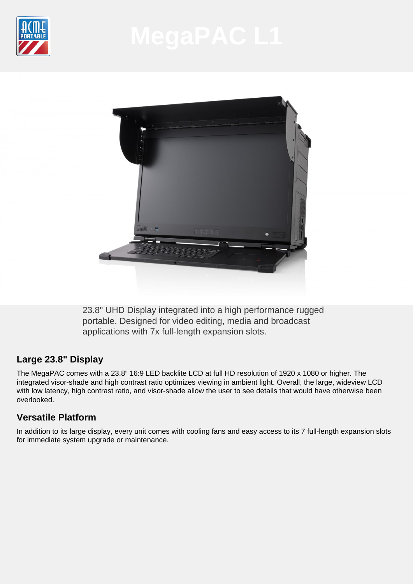



23.8" UHD Display integrated into a high performance rugged portable. Designed for video editing, media and broadcast applications with 7x full-length expansion slots.

# **Large 23.8" Display**

The MegaPAC comes with a 23.8" 16:9 LED backlite LCD at full HD resolution of 1920 x 1080 or higher. The integrated visor-shade and high contrast ratio optimizes viewing in ambient light. Overall, the large, wideview LCD with low latency, high contrast ratio, and visor-shade allow the user to see details that would have otherwise been overlooked.

# **Versatile Platform**

In addition to its large display, every unit comes with cooling fans and easy access to its 7 full-length expansion slots for immediate system upgrade or maintenance.